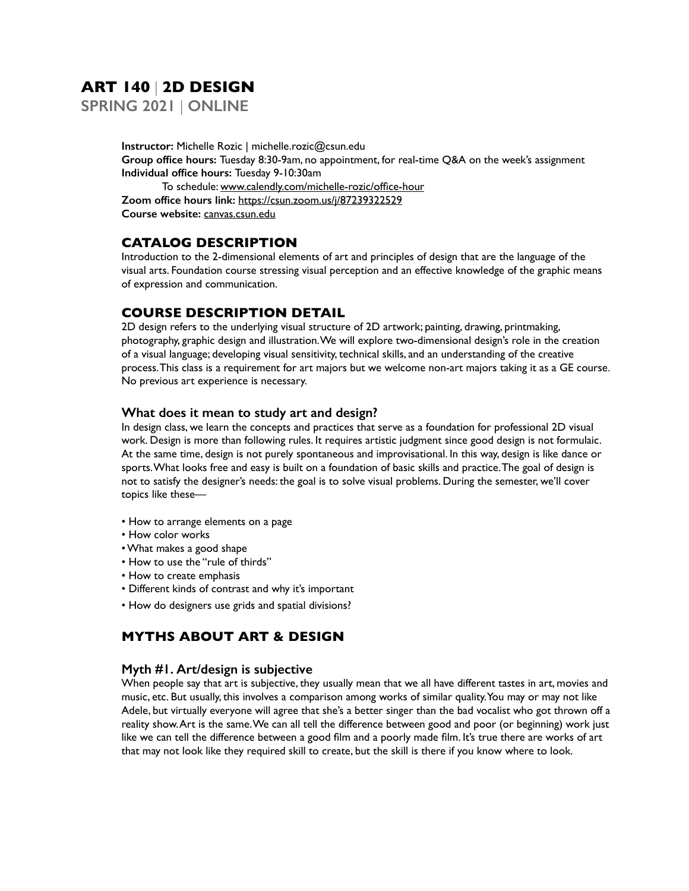# **ART 140** | **2D DESIGN**

**SPRING 2021** | **ONLINE**

**Instructor:** Michelle Rozic | michelle.rozic@csun.edu **Group office hours:** Tuesday 8:30-9am, no appointment, for real-time Q&A on the week's assignment **Individual office hours:** Tuesday 9-10:30am To schedule: www.calendly.com/michelle-rozic/office-hour **Zoom office hours link:** https://csun.zoom.us/j/87239322529 **Course website:** canvas.csun.edu

# **CATALOG DESCRIPTION**

Introduction to the 2-dimensional elements of art and principles of design that are the language of the visual arts. Foundation course stressing visual perception and an effective knowledge of the graphic means of expression and communication.

# **COURSE DESCRIPTION DETAIL**

2D design refers to the underlying visual structure of 2D artwork; painting, drawing, printmaking, photography, graphic design and illustration. We will explore two-dimensional design's role in the creation of a visual language; developing visual sensitivity, technical skills, and an understanding of the creative process. This class is a requirement for art majors but we welcome non-art majors taking it as a GE course. No previous art experience is necessary.

### **What does it mean to study art and design?**

In design class, we learn the concepts and practices that serve as a foundation for professional 2D visual work. Design is more than following rules. It requires artistic judgment since good design is not formulaic. At the same time, design is not purely spontaneous and improvisational. In this way, design is like dance or sports. What looks free and easy is built on a foundation of basic skills and practice. The goal of design is not to satisfy the designer's needs: the goal is to solve visual problems. During the semester, we'll cover topics like these—

- How to arrange elements on a page
- How color works
- What makes a good shape
- How to use the "rule of thirds"
- How to create emphasis
- Different kinds of contrast and why it's important
- How do designers use grids and spatial divisions?

# **MYTHS ABOUT ART & DESIGN**

# **Myth #1. Art/design is subjective**

When people say that art is subjective, they usually mean that we all have different tastes in art, movies and music, etc. But usually, this involves a comparison among works of similar quality. You may or may not like Adele, but virtually everyone will agree that she's a better singer than the bad vocalist who got thrown off a reality show. Art is the same. We can all tell the difference between good and poor (or beginning) work just like we can tell the difference between a good film and a poorly made film. It's true there are works of art that may not look like they required skill to create, but the skill is there if you know where to look.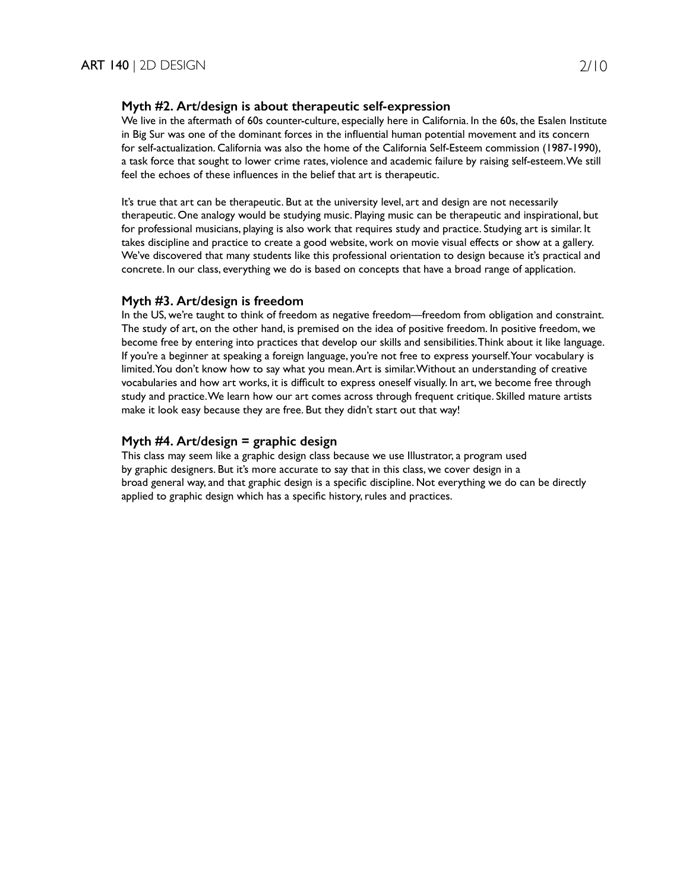### **Myth #2. Art/design is about therapeutic self-expression**

We live in the aftermath of 60s counter-culture, especially here in California. In the 60s, the Esalen Institute in Big Sur was one of the dominant forces in the influential human potential movement and its concern for self-actualization. California was also the home of the California Self-Esteem commission (1987-1990), a task force that sought to lower crime rates, violence and academic failure by raising self-esteem. We still feel the echoes of these influences in the belief that art is therapeutic.

It's true that art can be therapeutic. But at the university level, art and design are not necessarily therapeutic. One analogy would be studying music. Playing music can be therapeutic and inspirational, but for professional musicians, playing is also work that requires study and practice. Studying art is similar. It takes discipline and practice to create a good website, work on movie visual effects or show at a gallery. We've discovered that many students like this professional orientation to design because it's practical and concrete. In our class, everything we do is based on concepts that have a broad range of application.

### **Myth #3. Art/design is freedom**

In the US, we're taught to think of freedom as negative freedom—freedom from obligation and constraint. The study of art, on the other hand, is premised on the idea of positive freedom. In positive freedom, we become free by entering into practices that develop our skills and sensibilities. Think about it like language. If you're a beginner at speaking a foreign language, you're not free to express yourself. Your vocabulary is limited. You don't know how to say what you mean. Art is similar. Without an understanding of creative vocabularies and how art works, it is difficult to express oneself visually. In art, we become free through study and practice. We learn how our art comes across through frequent critique. Skilled mature artists make it look easy because they are free. But they didn't start out that way!

# **Myth #4. Art/design = graphic design**

This class may seem like a graphic design class because we use Illustrator, a program used by graphic designers. But it's more accurate to say that in this class, we cover design in a broad general way, and that graphic design is a specific discipline. Not everything we do can be directly applied to graphic design which has a specific history, rules and practices.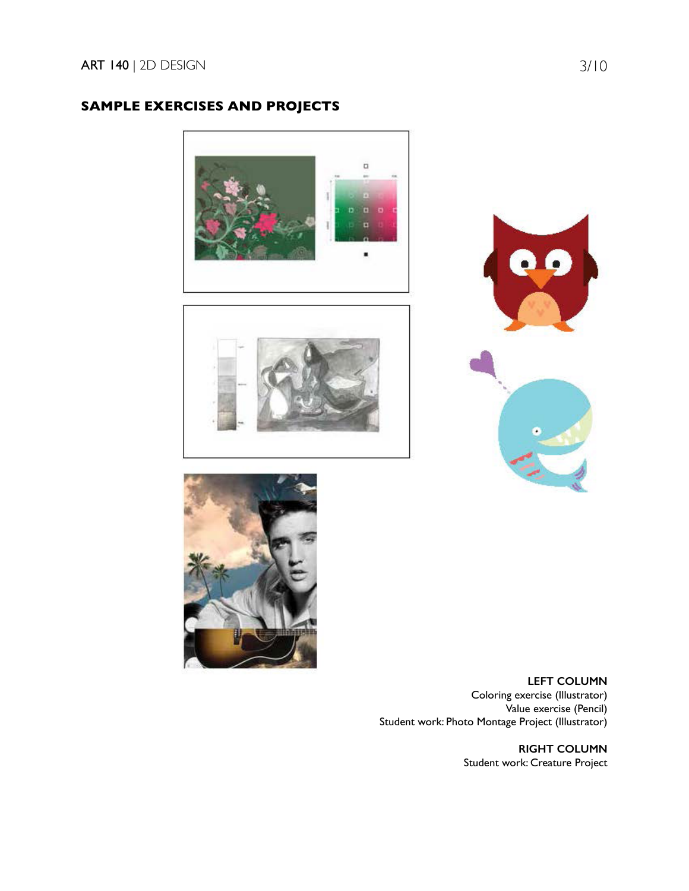# **SAMPLE EXERCISES AND PROJECTS**









**LEFT COLUMN** Coloring exercise (Illustrator) Value exercise (Pencil) Student work: Photo Montage Project (Illustrator)

> **RIGHT COLUMN** Student work: Creature Project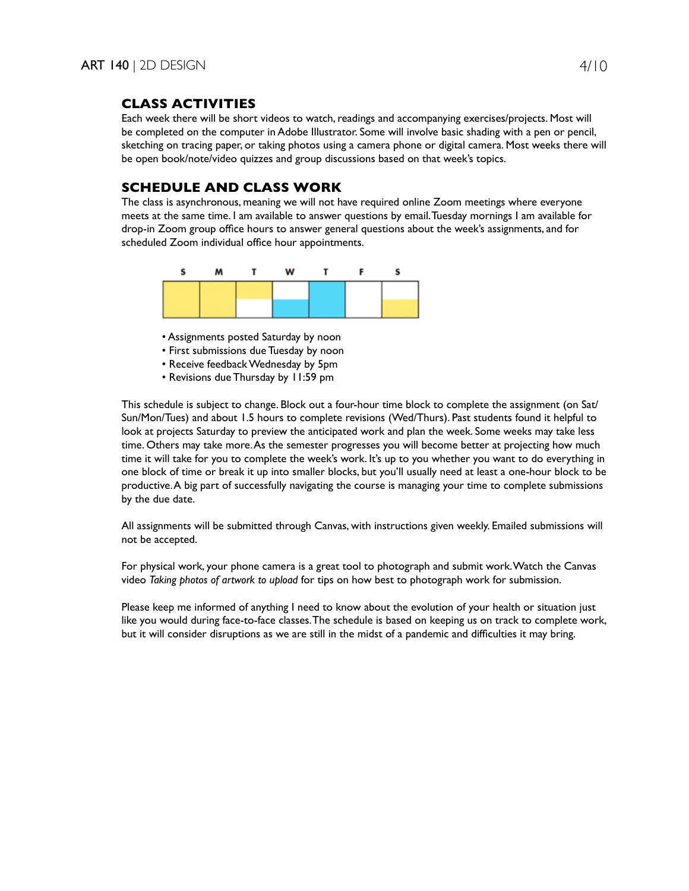# **CLASS ACTIVITIES**

Each week there will be short videos to watch, readings and accompanying exercises/projects. Most will be completed on the computer in Adobe Illustrator. Some will involve basic shading with a pen or pencil, sketching on tracing paper, or taking photos using a camera phone or digital camera. Most weeks there will be open book/note/video quizzes and group discussions based on that week's topics.

# **SCHEDULE AND CLASS WORK**

The class is asynchronous, meaning we will not have required online Zoom meetings where everyone meets at the same time. I am available to answer questions by email. Tuesday mornings I am available for drop-in Zoom group office hours to answer general questions about the week's assignments, and for scheduled Zoom individual office hour appointments.



• Assignments posted Saturday by noon

- First submissions due Tuesday by noon
- Receive feedback Wednesday by 5pm
- Revisions due Thursday by 11:59 pm

This schedule is subject to change. Block out a four-hour time block to complete the assignment (on Sat/ Sun/Mon/Tues) and about 1.5 hours to complete revisions (Wed/Thurs). Past students found it helpful to look at projects Saturday to preview the anticipated work and plan the week. Some weeks may take less time. Others may take more. As the semester progresses you will become better at projecting how much time it will take for you to complete the week's work. It's up to you whether you want to do everything in one block of time or break it up into smaller blocks, but you'll usually need at least a one-hour block to be productive. A big part of successfully navigating the course is managing your time to complete submissions by the due date.

All assignments will be submitted through Canvas, with instructions given weekly. Emailed submissions will not be accepted.

For physical work, your phone camera is a great tool to photograph and submit work. Watch the Canvas video *Taking photos of artwork to upload* for tips on how best to photograph work for submission.

Please keep me informed of anything I need to know about the evolution of your health or situation just like you would during face-to-face classes. The schedule is based on keeping us on track to complete work, but it will consider disruptions as we are still in the midst of a pandemic and difficulties it may bring.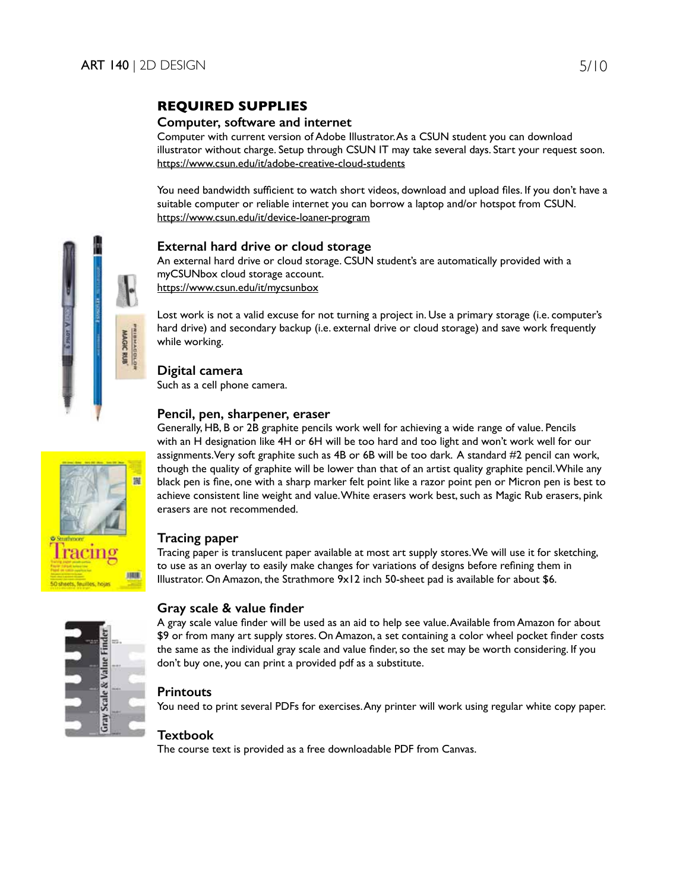# **REQUIRED SUPPLIES**

# **Computer, software and internet**

Computer with current version of Adobe Illustrator. As a CSUN student you can download illustrator without charge. Setup through CSUN IT may take several days. Start your request soon. https://www.csun.edu/it/adobe-creative-cloud-students

You need bandwidth sufficient to watch short videos, download and upload files. If you don't have a suitable computer or reliable internet you can borrow a laptop and/or hotspot from CSUN. https://www.csun.edu/it/device-loaner-program

# **External hard drive or cloud storage**

An external hard drive or cloud storage. CSUN student's are automatically provided with a myCSUNbox cloud storage account. https://www.csun.edu/it/mycsunbox

Lost work is not a valid excuse for not turning a project in. Use a primary storage (i.e. computer's hard drive) and secondary backup (i.e. external drive or cloud storage) and save work frequently while working.

# **Digital camera**

Such as a cell phone camera.

# **Pencil, pen, sharpener, eraser**

Generally, HB, B or 2B graphite pencils work well for achieving a wide range of value. Pencils with an H designation like 4H or 6H will be too hard and too light and won't work well for our assignments. Very soft graphite such as 4B or 6B will be too dark. A standard #2 pencil can work, though the quality of graphite will be lower than that of an artist quality graphite pencil. While any black pen is fine, one with a sharp marker felt point like a razor point pen or Micron pen is best to achieve consistent line weight and value. White erasers work best, such as Magic Rub erasers, pink erasers are not recommended.

# **Tracing paper**

Tracing paper is translucent paper available at most art supply stores. We will use it for sketching, to use as an overlay to easily make changes for variations of designs before refining them in Illustrator. On Amazon, the Strathmore 9x12 inch 50-sheet pad is available for about \$6.

|  | ш<br>m |
|--|--------|
|  |        |

# **Gray scale & value finder**

A gray scale value finder will be used as an aid to help see value. Available from Amazon for about \$9 or from many art supply stores. On Amazon, a set containing a color wheel pocket finder costs the same as the individual gray scale and value finder, so the set may be worth considering. If you don't buy one, you can print a provided pdf as a substitute.

# **Printouts**

You need to print several PDFs for exercises. Any printer will work using regular white copy paper.

# **Textbook**

The course text is provided as a free downloadable PDF from Canvas.

置

**ATEN**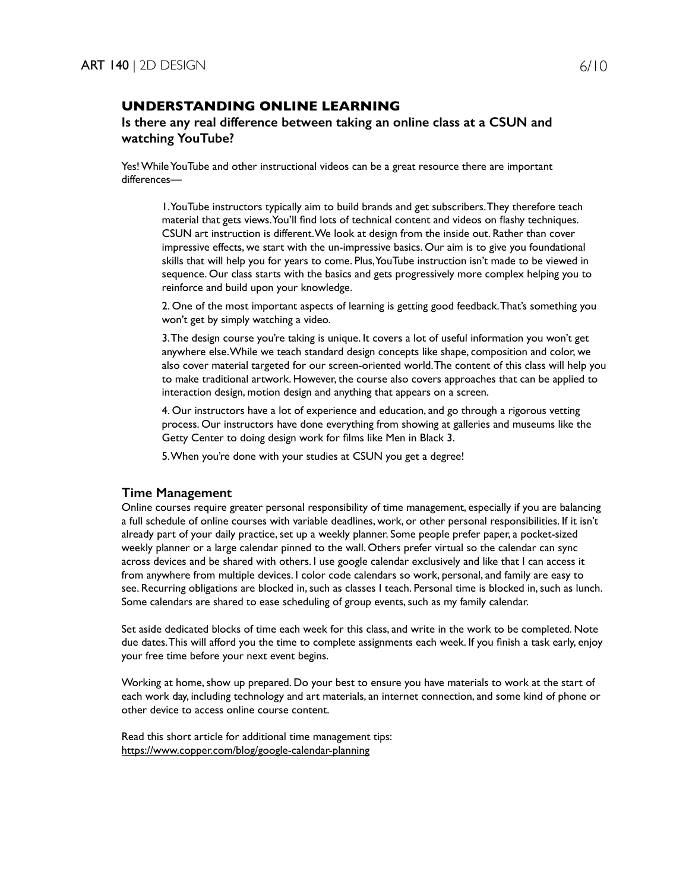# **UNDERSTANDING ONLINE LEARNING**

# **Is there any real difference between taking an online class at a CSUN and watching YouTube?**

Yes! While YouTube and other instructional videos can be a great resource there are important differences—

1. YouTube instructors typically aim to build brands and get subscribers. They therefore teach material that gets views. You'll find lots of technical content and videos on flashy techniques. CSUN art instruction is different. We look at design from the inside out. Rather than cover impressive effects, we start with the un-impressive basics. Our aim is to give you foundational skills that will help you for years to come. Plus, YouTube instruction isn't made to be viewed in sequence. Our class starts with the basics and gets progressively more complex helping you to reinforce and build upon your knowledge.

2. One of the most important aspects of learning is getting good feedback. That's something you won't get by simply watching a video.

3. The design course you're taking is unique. It covers a lot of useful information you won't get anywhere else. While we teach standard design concepts like shape, composition and color, we also cover material targeted for our screen-oriented world. The content of this class will help you to make traditional artwork. However, the course also covers approaches that can be applied to interaction design, motion design and anything that appears on a screen.

4. Our instructors have a lot of experience and education, and go through a rigorous vetting process. Our instructors have done everything from showing at galleries and museums like the Getty Center to doing design work for films like Men in Black 3.

5. When you're done with your studies at CSUN you get a degree!

#### **Time Management**

Online courses require greater personal responsibility of time management, especially if you are balancing a full schedule of online courses with variable deadlines, work, or other personal responsibilities. If it isn't already part of your daily practice, set up a weekly planner. Some people prefer paper, a pocket-sized weekly planner or a large calendar pinned to the wall. Others prefer virtual so the calendar can sync across devices and be shared with others. I use google calendar exclusively and like that I can access it from anywhere from multiple devices. I color code calendars so work, personal, and family are easy to see. Recurring obligations are blocked in, such as classes I teach. Personal time is blocked in, such as lunch. Some calendars are shared to ease scheduling of group events, such as my family calendar.

Set aside dedicated blocks of time each week for this class, and write in the work to be completed. Note due dates. This will afford you the time to complete assignments each week. If you finish a task early, enjoy your free time before your next event begins.

Working at home, show up prepared. Do your best to ensure you have materials to work at the start of each work day, including technology and art materials, an internet connection, and some kind of phone or other device to access online course content.

Read this short article for additional time management tips: https://www.copper.com/blog/google-calendar-planning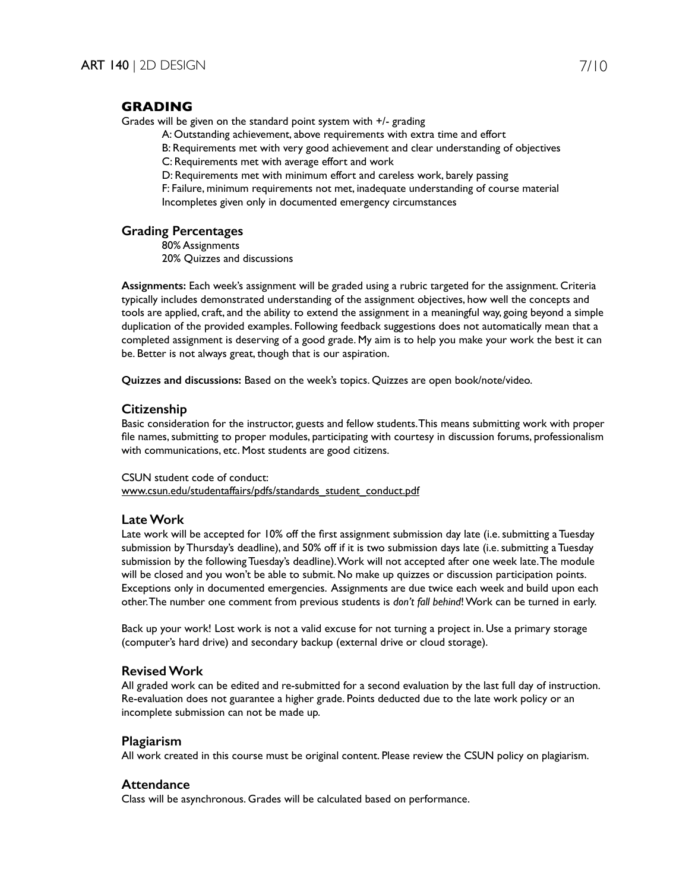# **GRADING**

Grades will be given on the standard point system with +/- grading

A: Outstanding achievement, above requirements with extra time and effort

B: Requirements met with very good achievement and clear understanding of objectives C: Requirements met with average effort and work

D: Requirements met with minimum effort and careless work, barely passing

F: Failure, minimum requirements not met, inadequate understanding of course material Incompletes given only in documented emergency circumstances

### **Grading Percentages**

80% Assignments 20% Quizzes and discussions

**Assignments:** Each week's assignment will be graded using a rubric targeted for the assignment. Criteria typically includes demonstrated understanding of the assignment objectives, how well the concepts and tools are applied, craft, and the ability to extend the assignment in a meaningful way, going beyond a simple duplication of the provided examples. Following feedback suggestions does not automatically mean that a completed assignment is deserving of a good grade. My aim is to help you make your work the best it can be. Better is not always great, though that is our aspiration.

**Quizzes and discussions:** Based on the week's topics. Quizzes are open book/note/video.

### **Citizenship**

Basic consideration for the instructor, guests and fellow students. This means submitting work with proper file names, submitting to proper modules, participating with courtesy in discussion forums, professionalism with communications, etc. Most students are good citizens.

#### CSUN student code of conduct:

www.csun.edu/studentaffairs/pdfs/standards\_student\_conduct.pdf

### **Late Work**

Late work will be accepted for 10% off the first assignment submission day late (i.e. submitting a Tuesday submission by Thursday's deadline), and 50% off if it is two submission days late (i.e. submitting a Tuesday submission by the following Tuesday's deadline). Work will not accepted after one week late. The module will be closed and you won't be able to submit. No make up quizzes or discussion participation points. Exceptions only in documented emergencies. Assignments are due twice each week and build upon each other. The number one comment from previous students is *don't fall behind*! Work can be turned in early.

Back up your work! Lost work is not a valid excuse for not turning a project in. Use a primary storage (computer's hard drive) and secondary backup (external drive or cloud storage).

#### **Revised Work**

All graded work can be edited and re-submitted for a second evaluation by the last full day of instruction. Re-evaluation does not guarantee a higher grade. Points deducted due to the late work policy or an incomplete submission can not be made up.

#### **Plagiarism**

All work created in this course must be original content. Please review the CSUN policy on plagiarism.

### **Attendance**

Class will be asynchronous. Grades will be calculated based on performance.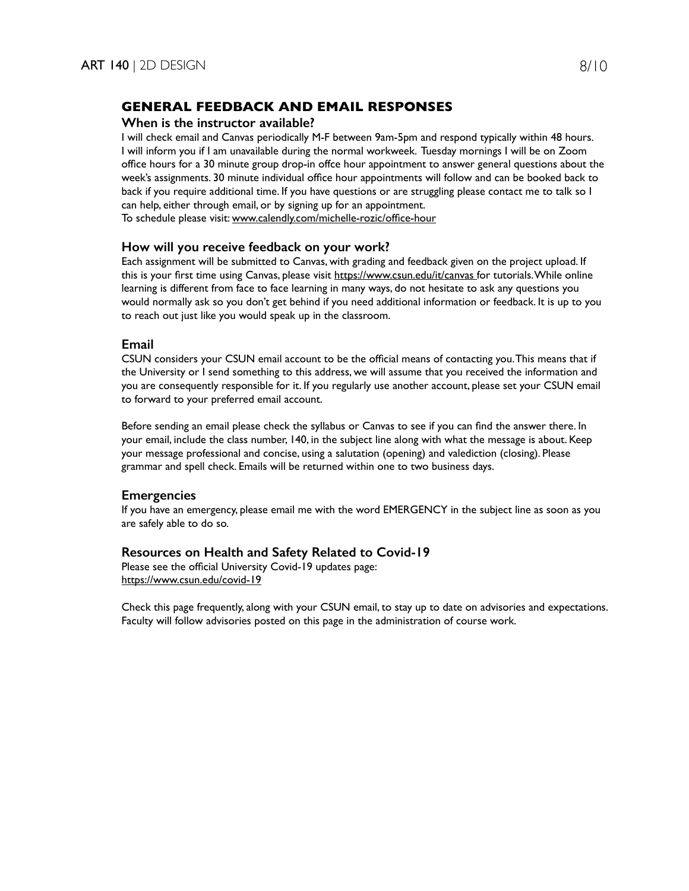# **GENERAL FEEDBACK AND EMAIL RESPONSES**

### **When is the instructor available?**

I will check email and Canvas periodically M-F between 9am-5pm and respond typically within 48 hours. I will inform you if I am unavailable during the normal workweek. Tuesday mornings I will be on Zoom office hours for a 30 minute group drop-in offce hour appointment to answer general questions about the week's assignments. 30 minute individual office hour appointments will follow and can be booked back to back if you require additional time. If you have questions or are struggling please contact me to talk so I can help, either through email, or by signing up for an appointment. To schedule please visit: www.calendly.com/michelle-rozic/office-hour

### **How will you receive feedback on your work?**

Each assignment will be submitted to Canvas, with grading and feedback given on the project upload. If this is your first time using Canvas, please visit https://www.csun.edu/it/canvas for tutorials. While online learning is different from face to face learning in many ways, do not hesitate to ask any questions you would normally ask so you don't get behind if you need additional information or feedback. It is up to you to reach out just like you would speak up in the classroom.

### **Email**

CSUN considers your CSUN email account to be the official means of contacting you. This means that if the University or I send something to this address, we will assume that you received the information and you are consequently responsible for it. If you regularly use another account, please set your CSUN email to forward to your preferred email account.

Before sending an email please check the syllabus or Canvas to see if you can find the answer there. In your email, include the class number, 140, in the subject line along with what the message is about. Keep your message professional and concise, using a salutation (opening) and valediction (closing). Please grammar and spell check. Emails will be returned within one to two business days.

# **Emergencies**

If you have an emergency, please email me with the word EMERGENCY in the subject line as soon as you are safely able to do so.

### **Resources on Health and Safety Related to Covid-19**

Please see the official University Covid-19 updates page: https://www.csun.edu/covid-19

Check this page frequently, along with your CSUN email, to stay up to date on advisories and expectations. Faculty will follow advisories posted on this page in the administration of course work.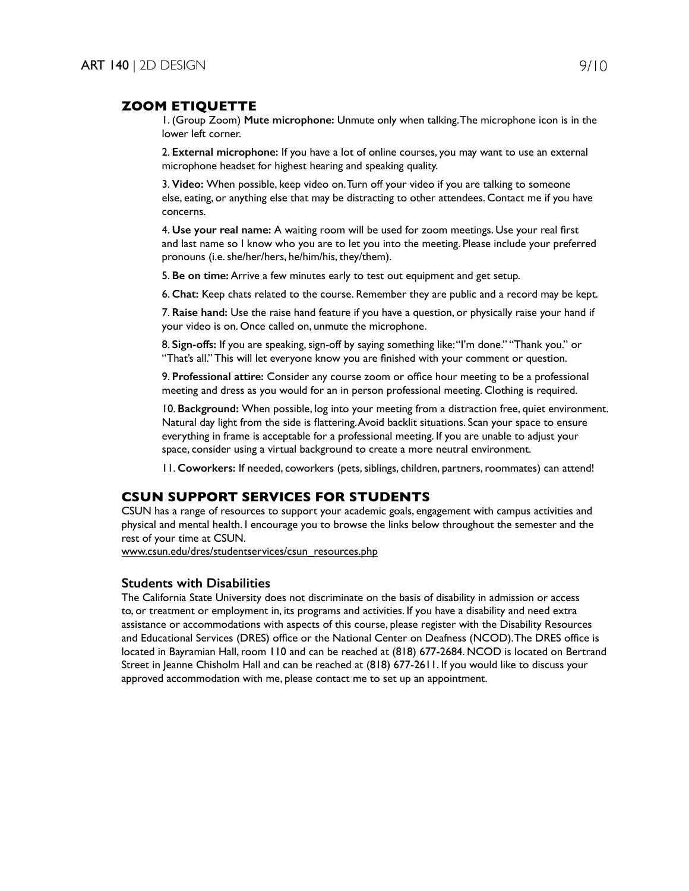### **ZOOM ETIQUETTE**

1. (Group Zoom) **Mute microphone:** Unmute only when talking. The microphone icon is in the lower left corner.

2. **External microphone:** If you have a lot of online courses, you may want to use an external microphone headset for highest hearing and speaking quality.

3. **Video:** When possible, keep video on. Turn off your video if you are talking to someone else, eating, or anything else that may be distracting to other attendees. Contact me if you have concerns.

4. **Use your real name:** A waiting room will be used for zoom meetings. Use your real first and last name so I know who you are to let you into the meeting. Please include your preferred pronouns (i.e. she/her/hers, he/him/his, they/them).

5. **Be on time:** Arrive a few minutes early to test out equipment and get setup.

6. **Chat:** Keep chats related to the course. Remember they are public and a record may be kept.

7. **Raise hand:** Use the raise hand feature if you have a question, or physically raise your hand if your video is on. Once called on, unmute the microphone.

8. **Sign-offs:** If you are speaking, sign-off by saying something like: "I'm done." "Thank you." or "That's all." This will let everyone know you are finished with your comment or question.

9. **Professional attire:** Consider any course zoom or office hour meeting to be a professional meeting and dress as you would for an in person professional meeting. Clothing is required.

10. **Background:** When possible, log into your meeting from a distraction free, quiet environment. Natural day light from the side is flattering. Avoid backlit situations. Scan your space to ensure everything in frame is acceptable for a professional meeting. If you are unable to adjust your space, consider using a virtual background to create a more neutral environment.

11. **Coworkers:** If needed, coworkers (pets, siblings, children, partners, roommates) can attend!

### **CSUN SUPPORT SERVICES FOR STUDENTS**

CSUN has a range of resources to support your academic goals, engagement with campus activities and physical and mental health. I encourage you to browse the links below throughout the semester and the rest of your time at CSUN.

www.csun.edu/dres/studentservices/csun\_resources.php

#### **Students with Disabilities**

The California State University does not discriminate on the basis of disability in admission or access to, or treatment or employment in, its programs and activities. If you have a disability and need extra assistance or accommodations with aspects of this course, please register with the Disability Resources and Educational Services (DRES) office or the National Center on Deafness (NCOD). The DRES office is located in Bayramian Hall, room 110 and can be reached at (818) 677-2684. NCOD is located on Bertrand Street in Jeanne Chisholm Hall and can be reached at (818) 677-2611. If you would like to discuss your approved accommodation with me, please contact me to set up an appointment.